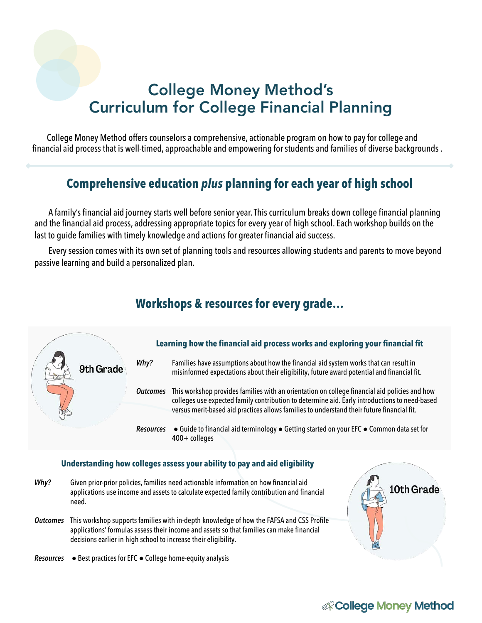# College Money Method's Curriculum for College Financial Planning

College Money Method offers counselors a comprehensive, actionable program on how to pay for college and financial aid process that is well-timed, approachable and empowering for students and families of diverse backgrounds .

# **Comprehensive education** *plus* **planning for each year of high school**

A family's financial aid journey starts well before senior year. This curriculum breaks down college financial planning and the financial aid process, addressing appropriate topics for every year of high school. Each workshop builds on the last to guide families with timely knowledge and actions for greater financial aid success.

Every session comes with its own set of planning tools and resources allowing students and parents to move beyond passive learning and build a personalized plan.

# **Workshops & resources for every grade…**



#### **Understanding how colleges assess your ability to pay and aid eligibility**

- *Why?* Given prior-prior policies, families need actionable information on how financial aid applications use income and assets to calculate expected family contribution and financial need.
- *Outcomes* This workshop supports families with in-depth knowledge of how the FAFSA and CSS Profile applications' formulas assess their income and assets so that families can make financial decisions earlier in high school to increase their eligibility.



*Resources* ● Best practices for EFC ● College home-equity analysis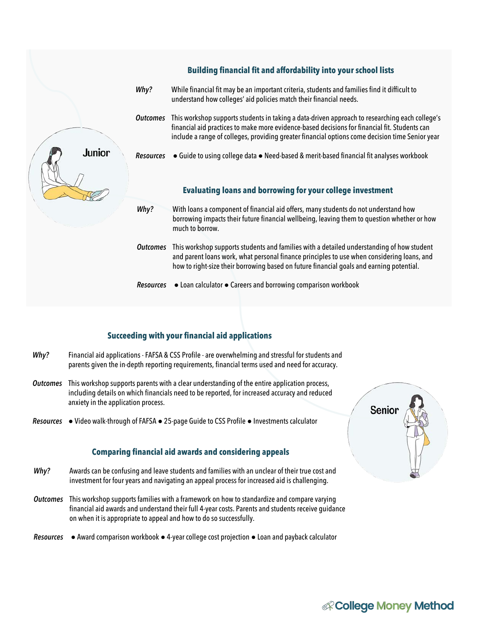|               |                  | <b>Building financial fit and affordability into your school lists</b>                                                                                                                                                                                                                             |
|---------------|------------------|----------------------------------------------------------------------------------------------------------------------------------------------------------------------------------------------------------------------------------------------------------------------------------------------------|
|               | Why?             | While financial fit may be an important criteria, students and families find it difficult to<br>understand how colleges' aid policies match their financial needs.                                                                                                                                 |
|               | Outcomes         | This workshop supports students in taking a data-driven approach to researching each college's<br>financial aid practices to make more evidence-based decisions for financial fit. Students can<br>include a range of colleges, providing greater financial options come decision time Senior year |
| <b>Junior</b> | <b>Resources</b> | • Guide to using college data • Need-based & merit-based financial fit analyses workbook                                                                                                                                                                                                           |
|               |                  | <b>Evaluating loans and borrowing for your college investment</b>                                                                                                                                                                                                                                  |
|               | Why?             | With loans a component of financial aid offers, many students do not understand how<br>borrowing impacts their future financial wellbeing, leaving them to question whether or how<br>much to borrow.                                                                                              |
|               | <b>Outcomes</b>  | This workshop supports students and families with a detailed understanding of how student<br>and parent loans work, what personal finance principles to use when considering loans, and<br>how to right-size their borrowing based on future financial goals and earning potential.                |
|               | <b>Resources</b> | • Loan calculator • Careers and borrowing comparison workbook                                                                                                                                                                                                                                      |

#### **Succeeding with your financial aid applications**

- *Why?* Financial aid applications FAFSA & CSS Profile are overwhelming and stressful for students and parents given the in-depth reporting requirements, financial terms used and need for accuracy.
- *Outcomes* This workshop supports parents with a clear understanding of the entire application process, including details on which financials need to be reported, for increased accuracy and reduced anxiety in the application process.
- *Resources* Video walk-through of FAFSA 25-page Guide to CSS Profile Investments calculator

#### **Comparing financial aid awards and considering appeals**

- *Why?* Awards can be confusing and leave students and families with an unclear of their true cost and investment for four years and navigating an appeal process for increased aid is challenging.
- *Outcomes* This workshop supports families with a framework on how to standardize and compare varying financial aid awards and understand their full 4-year costs. Parents and students receive guidance on when it is appropriate to appeal and how to do so successfully.
- *Resources* Award comparison workbook 4-year college cost projection Loan and payback calculator

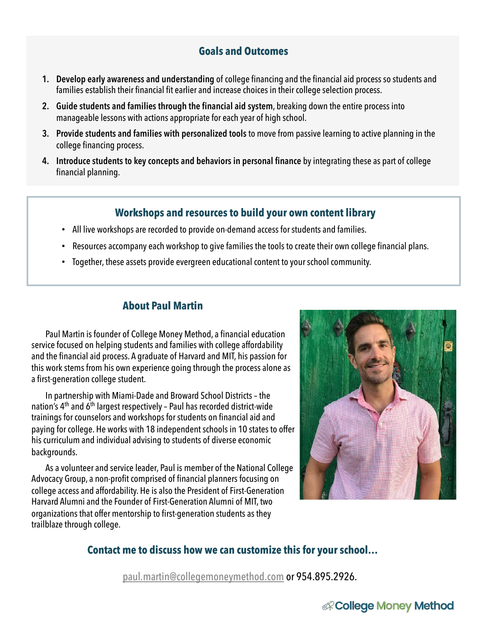### **Goals and Outcomes**

- **1. Develop early awareness and understanding** of college financing and the financial aid process so students and families establish their financial fit earlier and increase choices in their college selection process.
- **2. Guide students and families through the financial aid system**, breaking down the entire process into manageable lessons with actions appropriate for each year of high school.
- **3. Provide students and families with personalized tools** to move from passive learning to active planning in the college financing process.
- **4. Introduce students to key concepts and behaviors in personal finance** by integrating these as part of college financial planning.

### **Workshops and resources to build your own content library**

- All live workshops are recorded to provide on-demand access for students and families.
- Resources accompany each workshop to give families the tools to create their own college financial plans.
- Together, these assets provide evergreen educational content to your school community.

### **About Paul Martin**

Paul Martin is founder of College Money Method, a financial education service focused on helping students and families with college affordability and the financial aid process. A graduate of Harvard and MIT, his passion for this work stems from his own experience going through the process alone as a first-generation college student.

In partnership with Miami-Dade and Broward School Districts – the nation's  $4<sup>th</sup>$  and  $6<sup>th</sup>$  largest respectively – Paul has recorded district-wide trainings for counselors and workshops for students on financial aid and paying for college. He works with 18 independent schools in 10 states to offer his curriculum and individual advising to students of diverse economic backgrounds.

As a volunteer and service leader, Paul is member of the National College Advocacy Group, a non-profit comprised of financial planners focusing on college access and affordability. He is also the President of First-Generation Harvard Alumni and the Founder of First-Generation Alumni of MIT, two organizations that offer mentorship to first-generation students as they trailblaze through college.



### **Contact me to discuss how we can customize this for your school…**

[paul.martin@collegemoneymethod.com](mailto:paul.martin@collegemoneymethod.com) or 954.895.2926.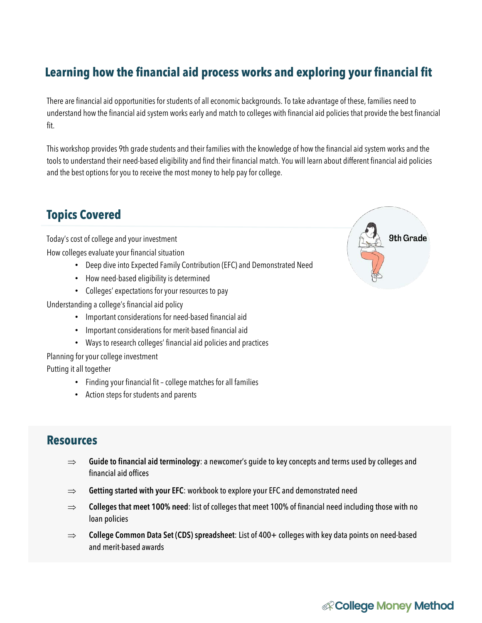# **Learning how the financial aid process works and exploring your financial fit**

There are financial aid opportunities for students of all economic backgrounds. To take advantage of these, families need to understand how the financial aid system works early and match to colleges with financial aid policies that provide the best financial fit.

This workshop provides 9th grade students and their families with the knowledge of how the financial aid system works and the tools to understand their need-based eligibility and find their financial match. You will learn about different financial aid policies and the best options for you to receive the most money to help pay for college.

# **Topics Covered**

Today's cost of college and your investment

How colleges evaluate your financial situation

- Deep dive into Expected Family Contribution (EFC) and Demonstrated Need
- How need-based eligibility is determined
- Colleges' expectations for your resources to pay

Understanding a college's financial aid policy

- Important considerations for need-based financial aid
- Important considerations for merit-based financial aid
- Ways to research colleges' financial aid policies and practices

Planning for your college investment Putting it all together

- Finding your financial fit college matches for all families
- Action steps for students and parents

### **Resources**

- $\Rightarrow$  **Guide to financial aid terminology**: a newcomer's guide to key concepts and terms used by colleges and financial aid offices
- $\Rightarrow$  **Getting started with your EFC**: workbook to explore your EFC and demonstrated need
- $\Rightarrow$  **Colleges that meet 100% need**: list of colleges that meet 100% of financial need including those with no loan policies
- $\Rightarrow$  **College Common Data Set (CDS) spreadsheet**: List of 400+ colleges with key data points on need-based and merit-based awards

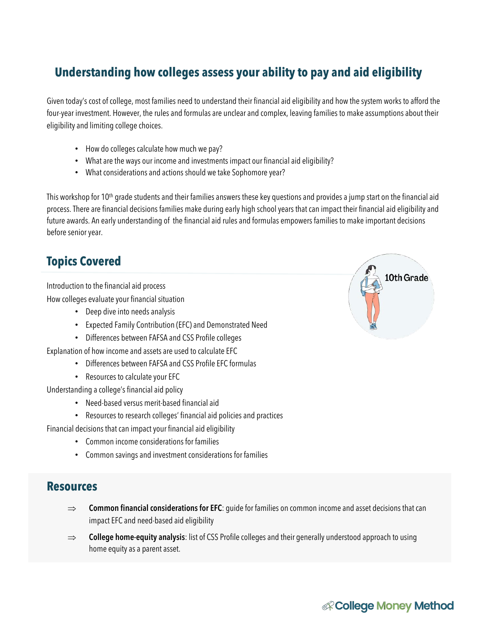# **Understanding how colleges assess your ability to pay and aid eligibility**

Given today's cost of college, most families need to understand their financial aid eligibility and how the system works to afford the four-year investment. However, the rules and formulas are unclear and complex, leaving families to make assumptions about their eligibility and limiting college choices.

- How do colleges calculate how much we pay?
- What are the ways our income and investments impact our financial aid eligibility?
- What considerations and actions should we take Sophomore year?

This workshop for 10<sup>th</sup> grade students and their families answers these key questions and provides a jump start on the financial aid process. There are financial decisions families make during early high school years that can impact their financial aid eligibility and future awards. An early understanding of the financial aid rules and formulas empowers families to make important decisions before senior year.

# **Topics Covered**

Introduction to the financial aid process How colleges evaluate your financial situation

- Deep dive into needs analysis
- Expected Family Contribution (EFC) and Demonstrated Need
- Differences between FAFSA and CSS Profile colleges

Explanation of how income and assets are used to calculate EFC

- Differences between FAFSA and CSS Profile EFC formulas
- Resources to calculate your EFC

Understanding a college's financial aid policy

- Need-based versus merit-based financial aid
- Resources to research colleges' financial aid policies and practices

Financial decisions that can impact your financial aid eligibility

- Common income considerations for families
- Common savings and investment considerations for families

### **Resources**

- $\Rightarrow$  **Common financial considerations for EFC**: quide for families on common income and asset decisions that can impact EFC and need-based aid eligibility
- $\Rightarrow$  **College home-equity analysis**: list of CSS Profile colleges and their generally understood approach to using home equity as a parent asset.

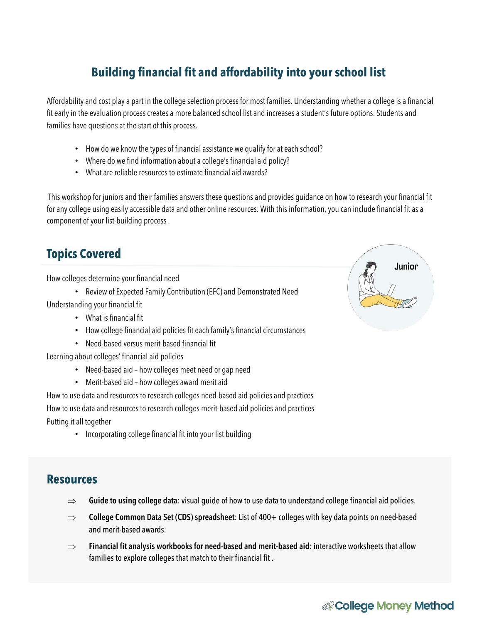# **Building financial fit and affordability into your school list**

Affordability and cost play a part in the college selection process for most families. Understanding whether a college is a financial fit early in the evaluation process creates a more balanced school list and increases a student's future options. Students and families have questions at the start of this process.

- How do we know the types of financial assistance we qualify for at each school?
- Where do we find information about a college's financial aid policy?
- What are reliable resources to estimate financial aid awards?

This workshop for juniors and their families answers these questions and provides guidance on how to research your financial fit for any college using easily accessible data and other online resources. With this information, you can include financial fit as a component of your list-building process .

# **Topics Covered**

How colleges determine your financial need

- Review of Expected Family Contribution (EFC) and Demonstrated Need Understanding your financial fit
	- What is financial fit
	- How college financial aid policies fit each family's financial circumstances
	- Need-based versus merit-based financial fit

Learning about colleges' financial aid policies

- Need-based aid how colleges meet need or gap need
- Merit-based aid how colleges award merit aid

How to use data and resources to research colleges need-based aid policies and practices How to use data and resources to research colleges merit-based aid policies and practices Putting it all together

• Incorporating college financial fit into your list building

### **Resources**

- $\Rightarrow$  **Guide to using college data**: visual guide of how to use data to understand college financial aid policies.
- $\Rightarrow$  **College Common Data Set (CDS) spreadsheet**: List of 400+ colleges with key data points on need-based and merit-based awards.
- $\Rightarrow$  **Financial fit analysis workbooks for need-based and merit-based aid: interactive worksheets that allow** families to explore colleges that match to their financial fit .

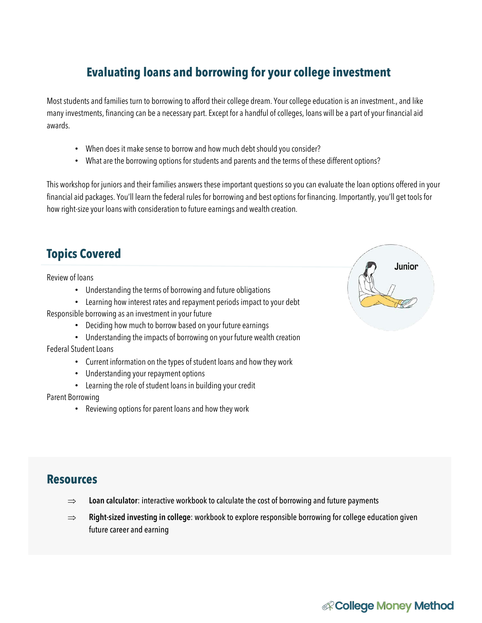# **Evaluating loans and borrowing for your college investment**

Most students and families turn to borrowing to afford their college dream. Your college education is an investment., and like many investments, financing can be a necessary part. Except for a handful of colleges, loans will be a part of your financial aid awards.

- When does it make sense to borrow and how much debt should you consider?
- What are the borrowing options for students and parents and the terms of these different options?

This workshop for juniors and their families answers these important questions so you can evaluate the loan options offered in your financial aid packages. You'll learn the federal rules for borrowing and best options for financing. Importantly, you'll get tools for how right-size your loans with consideration to future earnings and wealth creation.

## **Topics Covered**

Review of loans

- Understanding the terms of borrowing and future obligations
- Learning how interest rates and repayment periods impact to your debt

Responsible borrowing as an investment in your future

- Deciding how much to borrow based on your future earnings
- Understanding the impacts of borrowing on your future wealth creation

Federal Student Loans

- Current information on the types of student loans and how they work
- Understanding your repayment options
- Learning the role of student loans in building your credit

Parent Borrowing

• Reviewing options for parent loans and how they work



### **Resources**

- $\Rightarrow$  **Loan calculator**: interactive workbook to calculate the cost of borrowing and future payments
- ⇒ Right-sized investing in college: workbook to explore responsible borrowing for college education given future career and earning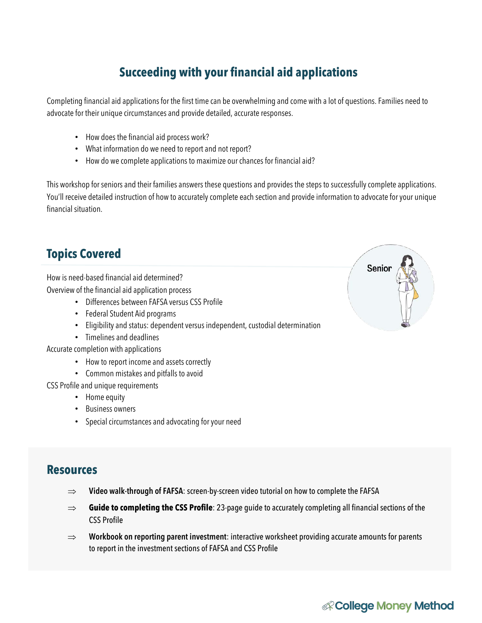# **Succeeding with your financial aid applications**

Completing financial aid applications for the first time can be overwhelming and come with a lot of questions. Families need to advocate for their unique circumstances and provide detailed, accurate responses.

- How does the financial aid process work?
- What information do we need to report and not report?
- How do we complete applications to maximize our chances for financial aid?

This workshop for seniors and their families answers these questions and provides the steps to successfully complete applications. You'll receive detailed instruction of how to accurately complete each section and provide information to advocate for your unique financial situation.

## **Topics Covered**

How is need-based financial aid determined?

Overview of the financial aid application process

- Differences between FAFSA versus CSS Profile
- Federal Student Aid programs
- Eligibility and status: dependent versus independent, custodial determination
- Timelines and deadlines

#### Accurate completion with applications

- How to report income and assets correctly
- Common mistakes and pitfalls to avoid
- CSS Profile and unique requirements
	- Home equity
	- Business owners
	- Special circumstances and advocating for your need

### **Resources**

- ⇒ Video walk-through of FAFSA: screen-by-screen video tutorial on how to complete the FAFSA
- $\Rightarrow$  **Guide to completing the CSS Profile**: 23-page guide to accurately completing all financial sections of the CSS Profile
- $\Rightarrow$  **Workbook on reporting parent investment**: interactive worksheet providing accurate amounts for parents to report in the investment sections of FAFSA and CSS Profile